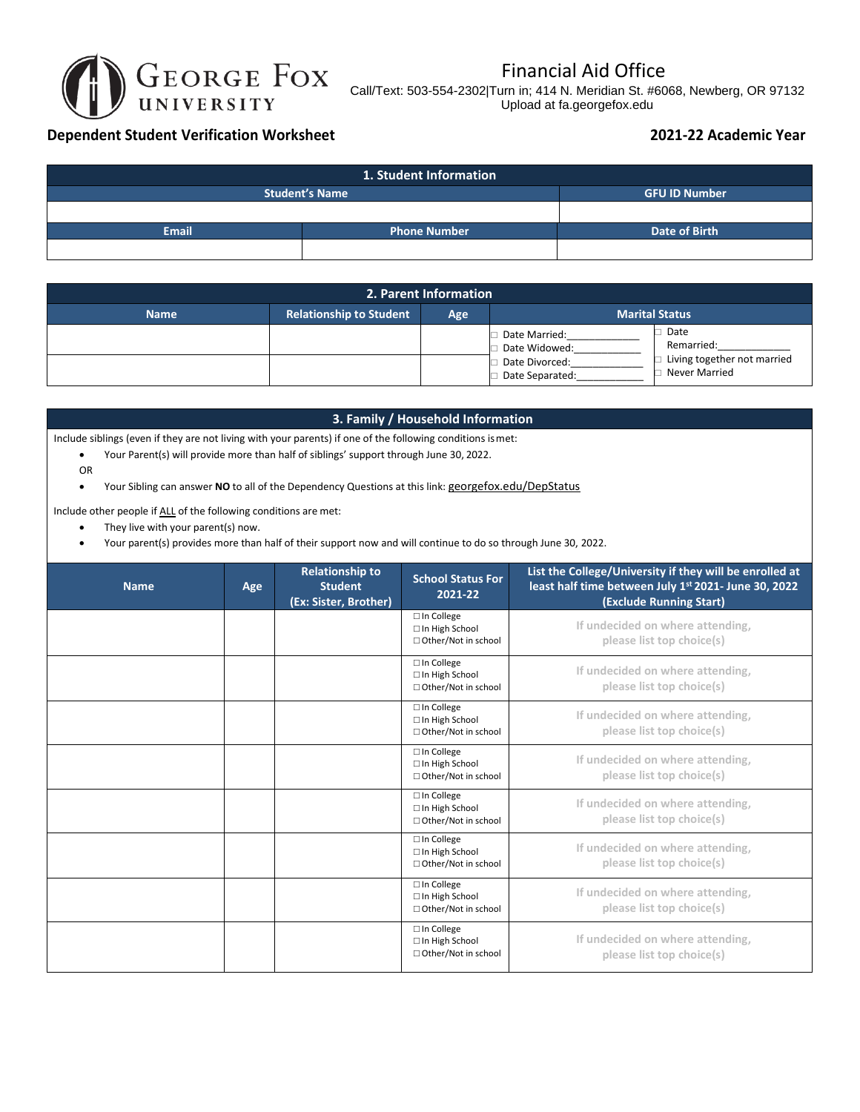

## Financial Aid Office

Call/Text: 503-554-2302|Turn in; 414 N. Meridian St. #6068, Newberg, OR 97132 Upload at fa.georgefox.edu

## **Dependent Student Verification Worksheet 2021-22 Academic Year**

| 1. Student Information              |  |                      |  |
|-------------------------------------|--|----------------------|--|
| <b>Student's Name</b>               |  | <b>GFU ID Number</b> |  |
|                                     |  |                      |  |
| <b>Email</b><br><b>Phone Number</b> |  | Date of Birth        |  |
|                                     |  |                      |  |

| 2. Parent Information |                                |     |                                   |                                              |
|-----------------------|--------------------------------|-----|-----------------------------------|----------------------------------------------|
| <b>Name</b>           | <b>Relationship to Student</b> | Age |                                   | <b>Marital Status</b>                        |
|                       |                                |     | Date Married:<br>Date Widowed:    | Date<br>Remarried:                           |
|                       |                                |     | Date Divorced:<br>Date Separated: | Living together not married<br>Never Married |

## **3. Family / Household Information**

Include siblings (even if they are not living with your parents) if one of the following conditions ismet:

- Your Parent(s) will provide more than half of siblings' support through June 30, 2022.
- OR

• Your Sibling can answer **NO** to all of the Dependency Questions at this link: [georgefox.edu/DepStatus](https://www.georgefox.edu/depstatus)

Include other people if ALL of the following conditions are met:

- They live with your parent(s) now.
- Your parent(s) provides more than half of their support now and will continue to do so through June 30, 2022.

| <b>Name</b> | Age | <b>Relationship to</b><br><b>Student</b><br>(Ex: Sister, Brother) | <b>School Status For</b><br>2021-22                               | List the College/University if they will be enrolled at<br>least half time between July 1st 2021- June 30, 2022<br>(Exclude Running Start) |
|-------------|-----|-------------------------------------------------------------------|-------------------------------------------------------------------|--------------------------------------------------------------------------------------------------------------------------------------------|
|             |     |                                                                   | $\square$ In College<br>□ In High School<br>□ Other/Not in school | If undecided on where attending,<br>please list top choice(s)                                                                              |
|             |     |                                                                   | $\square$ In College<br>□ In High School<br>□ Other/Not in school | If undecided on where attending,<br>please list top choice(s)                                                                              |
|             |     |                                                                   | $\Box$ In College<br>□ In High School<br>□ Other/Not in school    | If undecided on where attending,<br>please list top choice(s)                                                                              |
|             |     |                                                                   | $\Box$ In College<br>□ In High School<br>□ Other/Not in school    | If undecided on where attending,<br>please list top choice(s)                                                                              |
|             |     |                                                                   | $\square$ In College<br>□ In High School<br>□ Other/Not in school | If undecided on where attending,<br>please list top choice(s)                                                                              |
|             |     |                                                                   | $\square$ In College<br>□ In High School<br>□ Other/Not in school | If undecided on where attending,<br>please list top choice(s)                                                                              |
|             |     |                                                                   | □ In College<br>□ In High School<br>□ Other/Not in school         | If undecided on where attending,<br>please list top choice(s)                                                                              |
|             |     |                                                                   | □ In College<br>□ In High School<br>□ Other/Not in school         | If undecided on where attending,<br>please list top choice(s)                                                                              |